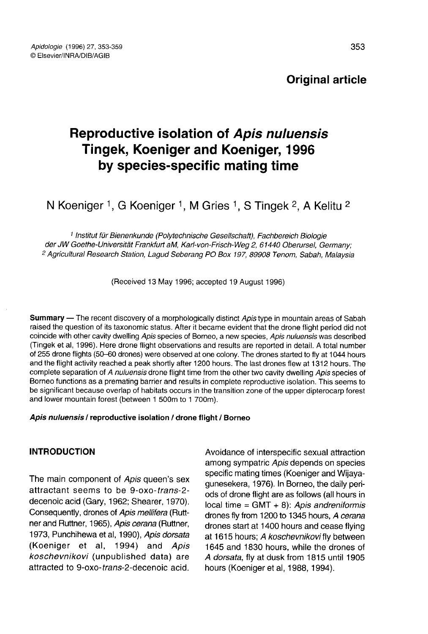# Original article

# Reproductive isolation of Apis nuluensis Tingek, Koeniger and Koeniger, 1996 by species-specific mating time

N Koeniger <sup>1</sup>, G Koeniger <sup>1</sup>, M Gries <sup>1</sup>, S Tingek <sup>2</sup>, A Kelitu <sup>2</sup>

<sup>1</sup> Institut für Bienenkunde (Polytechnische Gesellschaft), Fachbereich Biologie der JW Goethe-Universität Frankfurt aM, Karl-von-Frisch-Weg 2, 61440 Oberursel, Germany; <sup>2</sup> Agricultural Research Station, Lagud Seberang PO Box 197, 89908 Tenom, Sabah, Malaysia

(Received 13 May 1996; accepted 19 August 1996)

Summary - The recent discovery of a morphologically distinct Apis type in mountain areas of Sabah raised the question of its taxonomic status. After it became evident that the drone flight period did not coincide with other cavity dwelling Apis species of Borneo, a new species, Apis nuluensis was described (Tingek et al, 1996). Here drone flight observations and results are reported in detail. A total number of 255 drone flights (50-60 drones) were observed at one colony. The drones started to fly at 1044 hours and the flight activity reached a peak shortly after 1200 hours. The last drones flew at 1312 hours. The complete separation of A nuluensis drone flight time from the other two cavity dwelling Apis species of Borneo functions as a premating barrier and results in complete reproductive isolation. This seems to be significant because overlap of habitats occurs in the transition zone of the upper dipterocarp forest and lower mountain forest (between 1 500m to 1 700m).

#### Apis nuluensis / reproductive isolation / drone flight / Borneo

### INTRODUCTION

The main component of Apis queen's sex attractant seems to be 9-oxo-trans-2 decenoic acid (Gary, 1962; Shearer, 1970). Consequently, drones of Apis mellifera (Rutt ner and Ruttner, 1965), Apis cerana (Ruttner, 1973, Punchihewa et al, 1990), Apis dorsata (Koeniger et al, 1994) and Apis koschevnikovi (unpublished data) are attracted to 9-oxo-trans-2-decenoic acid.

Avoidance of interspecific sexual attraction among sympatric Apis depends on species specific mating times (Koeniger and Wijayagunesekera, 1976). In Borneo, the daily periods of drone flight are as follows (all hours in local time =  $GMT + 8$ ): Apis andreniformis drones fly from 1200 to 1345 hours, A cerana drones start at 1400 hours and cease flying at 1615 hours; A koschevnikovi fly between 1645 and 1830 hours, while the drones of A dorsata, fly at dusk from 1815 until 1905 hours (Koeniger et al, 1988, 1994).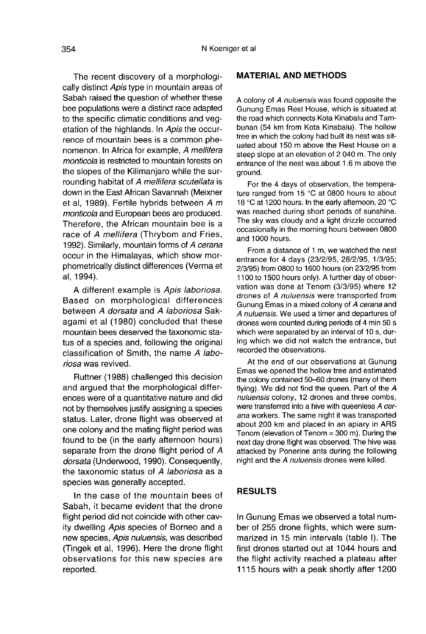The recent discovery of a morphologically distinct Apis type in mountain areas of Sabah raised the question of whether these bee populations were a distinct race adapted to the specific climatic conditions and vegetation of the highlands. In Apis the occurrence of mountain bees is a common phe nomenon. In Africa for example, A mellifera monticola is restricted to mountain forests on the slopes of the Kilimanjaro while the surrounding habitat of A mellifera scutellata is down in the East African Savannah (Meixner et al, 1989). Fertile hybrids between A m monticola and European bees are produced. Therefore, the African mountain bee is a race of A mellifera (Thrybom and Fries, 1992). Similarly, mountain forms of A cerana occur in the Himalayas, which show morphometrically distinct differences (Verma et al, 1994).

A different example is Apis laboriosa. Based on morphological differences between A dorsata and A laboriosa Sakagami et al (1980) concluded that these mountain bees deserved the taxonomic status of a species and, following the original classification of Smith, the name A laboriosa was revived.

Ruttner (1988) challenged this decision and argued that the morphological differences were of a quantitative nature and did not by themselves justify assigning a species status. Later, drone flight was observed at one colony and the mating flight period was found to be (in the early afternoon hours) separate from the drone flight period of A dorsata (Underwood, 1990). Consequently, the taxonomic status of A laboriosa as a species was generally accepted.

In the case of the mountain bees of Sabah, it became evident that the drone flight period did not coincide with other cavity dwelling Apis species of Borneo and a new species, Apis nuluensis, was described (Tingek et al, 1996). Here the drone flight observations for this new species are reported.

#### MATERIAL AND METHODS

A colony of A nuluensis was found opposite the Gunung Emas Rest House, which is situated at the road which connects Kota Kinabalu and Tambunan (54 km from Kota Kinabalu). The hollow tree in which the colony had built its nest was situated about 150 m above the Rest House on a steep slope at an elevation of 2 040 m. The only entrance of the nest was about 1.6 m above the ground.

For the 4 days of observation, the tempera ture ranged from 15 °C at 0800 hours to about 18 °C at 1200 hours. In the early afternoon, 20 °C was reached during short periods of sunshine. The sky was cloudy and a light drizzle occurred occasionally in the morning hours between 0800 and 1000 hours.

From a distance of 1 m, we watched the nest entrance for 4 days (23/2/95, 28/2/95, 1/3/95; 2/3/95) from 0800 to 1600 hours (on 23/2/95 from 1100 to 1500 hours only). A further day of observation was done at Tenom (3/3/95) where 12 drones of A nuluensis were transported from Gunung Emas in a mixed colony of A cerana and A nuluensis. We used a timer and departures of drones were counted during periods of 4 min 50 s which were separated by an interval of 10 s, during which we did not watch the entrance, but recorded the observations.

At the end of our observations at Gunung Emas we opened the hollow tree and estimated the colony contained 50-60 drones (many of them flying). We did not find the queen. Part of the A nuluensis colony, 12 drones and three combs, were transferred into a hive with queenless A cerana workers. The same night it was transported about 200 km and placed in an apiary in ARS Tenom (elevation of Tenom = 300 m). During the next day drone flight was observed. The hive was attacked by Ponerine ants during the following night and the A nuluensis drones were killed.

#### RESULTS

In Gunung Emas we observed a total number of 255 drone flights, which were summarized in 15 min intervals (table I). The first drones started out at 1044 hours and the flight activity reached a plateau after 1115 hours with a peak shortly after 1200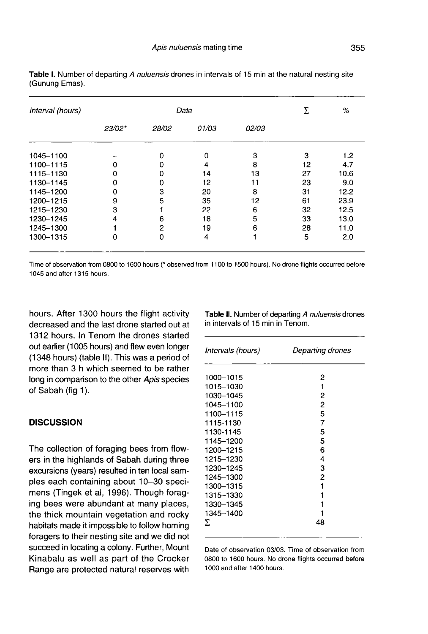| Interval (hours) | Date   |       |       |                          | Σ  | %    |
|------------------|--------|-------|-------|--------------------------|----|------|
|                  | 23/02* | 28/02 | 01/03 | <b>ALCOHOL:</b><br>02/03 |    |      |
| 1045-1100        |        |       |       | 3                        | з  | 1.2  |
| 1100-1115        |        |       | 4     | 8                        | 12 | 4.7  |
| 1115-1130        |        | 0     | 14    | 13                       | 27 | 10.6 |
| 1130-1145        |        | 0     | 12    | 11                       | 23 | 9.0  |
| 1145-1200        |        | з     | 20    | 8                        | 31 | 12.2 |
| 1200-1215        | 9      | 5     | 35    | 12                       | 61 | 23.9 |
| 1215-1230        | з      |       | 22    | 6                        | 32 | 12.5 |
| 1230-1245        |        | 6     | 18    | 5                        | 33 | 13.0 |
| 1245-1300        |        | 2     | 19    | 6                        | 28 | 11.0 |
| 1300-1315        |        | 0     | 4     |                          | 5  | 2.0  |

Table I. Number of departing A nuluensis drones in intervals of 15 min at the natural nesting site (Gunung Emas).

Time of observation from 0800 to 1600 hours (\* observed from 1100 to 1500 hours). No drone flights occurred before 1045 and after 1315 hours

hours. After 1300 hours the flight activity decreased and the last drone started out at 1312 hours. In Tenom the drones started out earlier (1005 hours) and flew even longer (1348 hours) (table II). This was a period of more than 3 h which seemed to be rather long in comparison to the other Apis species of Sabah (fig 1).

### **DISCUSSION**

The collection of foraging bees from flowers in the highlands of Sabah during three excursions (years) resulted in ten local samples each containing about 10-30 speci mens (Tingek et al, 1996). Though foraging bees were abundant at many places, the thick mountain vegetation and rocky habitats made it impossible to follow homing foragers to their nesting site and we did not succeed in locating a colony. Further, Mount Kinabalu as well as part of the Crocker Range are protected natural reserves with

Table II. Number of departing A nuluensis drones in intervals of 15 min in Tenom.

| Intervals (hours)                                                                                                                                                                               | Departing drones                                                        |
|-------------------------------------------------------------------------------------------------------------------------------------------------------------------------------------------------|-------------------------------------------------------------------------|
| 1000-1015<br>1015–1030<br>1030-1045<br>1045-1100<br>1100–1115<br>1115-1130<br>1130-1145<br>1145–1200<br>1200–1215<br>1215–1230<br>1230-1245<br>1245-1300<br>1300-1315<br>1315–1330<br>1330-1345 | 2<br>1<br>2<br>2<br>5<br>7<br>5<br>5<br>6<br>4<br>3<br>2<br>1<br>1<br>1 |
| 1345-1400<br>Σ                                                                                                                                                                                  | 48                                                                      |

Date of observation 03/03. Time of observation from 0800 to 1600 hours. No drone flights occurred before 1000 and after 1400 hours.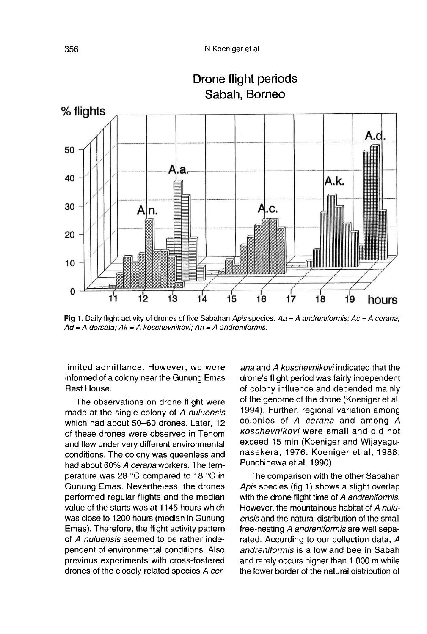Drone flight periods



Fig 1. Daily flight activity of drones of five Sabahan Apis species.  $Aa = A$  andreniformis;  $Ac = A$  cerana;  $Ad = A$  dorsata:  $Ak = A$  koschevnikovi:  $An = A$  andreniformis.

limited admittance. However, we were informed of a colony near the Gunung Emas Rest House.

The observations on drone flight were made at the single colony of A nuluensis which had about 50-60 drones. Later, 12 of these drones were observed in Tenom and flew under very different environmental conditions. The colony was queenless and had about 60% A cerana workers. The temperature was 28 °C compared to 18 °C in Gunung Emas. Nevertheless, the drones performed regular flights and the median value of the starts was at 1145 hours which was close to 1200 hours (median in Gunung Emas). Therefore, the flight activity pattern of A nuluensis seemed to be rather independent of environmental conditions. Also previous experiments with cross-fostered drones of the closely related species A cer-

ana and A koschevnikovi indicated that the drone's flight period was fairly independent of colony influence and depended mainly of the genome of the drone (Koeniger et al, 1994). Further, regional variation among colonies of A cerana and among A koschevnikovi were small and did not exceed 15 min (Koeniger and Wijayagunasekera, 1976; Koeniger et al, 1988; Punchihewa et al, 1990).

The comparison with the other Sabahan Apis species (fig 1) shows a slight overlap with the drone flight time of A andreniformis. However, the mountainous habitat of A nuluensis and the natural distribution of the small free-nesting A andreniformis are well separated. According to our collection data, A andreniformis is a lowland bee in Sabah and rarely occurs higher than 1 000 m while the lower border of the natural distribution of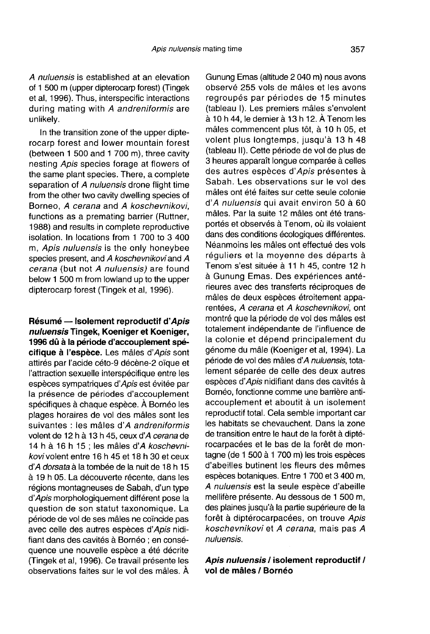A nuluensis is established at an elevation of 1 500 m (upper dipterocarp forest) (Tingek et al, 1996). Thus, interspecific interactions during mating with A andreniformis are unlikely.

In the transition zone of the upper dipterocarp forest and lower mountain forest (between 1 500 and 1 700 m), three cavity nesting Apis species forage at flowers of the same plant species. There, a complete separation of A nuluensis drone flight time from the other two cavity dwelling species of Borneo, A cerana and A koschevnikovi, functions as a premating barrier (Ruttner, 1988) and results in complete reproductive isolation. In locations from 1 700 to 3 400 m, Apis nuluensis is the only honeybee species present, and A koschevnikovi and A cerana (but not A nuluensis) are found below 1 500 m from lowland up to the upper dipterocarp forest (Tingek et al, 1996).

Résumé — Isolement reproductif d'Apis nuluensis Tingek, Koeniger et Koeniger, 1996 dû à la période d'accouplement spécifique à l'espèce. Les mâles d'Apis sont attirés par l'acide céto-9 décène-2 oïque et l'attraction sexuelle interspécifique entre les espèces sympatriques d'Apis est évitée par la présence de périodes d'accouplement spécifiques à chaque espèce. À Bornéo les plages horaires de vol des mâles sont les suivantes : les mâles d'A andreniformis volent de 12 h à 13 h 45, ceux d'A cerana de 14 h à 16 h 15 ; les mâles d'A koschevnikovi volent entre 16 h 45 et 18 h 30 et ceux d'A dorsata à la tombée de la nuit de 18 h 15 à 19 h 05. La découverte récente, dans les régions montagneuses de Sabah, d'un type d'Apis morphologiquement différent pose la question de son statut taxonomique. La période de vol de ses mâles ne coïncide pas avec celle des autres espèces d'Apis nidifiant dans des cavités à Bornéo ; en conséquence une nouvelle espèce a été décrite (Tingek et al, 1996). Ce travail présente les observations faites sur le vol des mâles. À

Gunung Emas (altitude 2 040 m) nous avons observé 255 vols de mâles et les avons regroupés par périodes de 15 minutes (tableau I). Les premiers mâles s'envolent à 10 h 44, le dernier à 13 h 12. À Tenom les mâles commencent plus tôt, à 10 h 05, et volent plus longtemps, jusqu'à 13 h 48 (tableau II). Cette période de vol de plus de 3 heures apparaît longue comparée à celles des autres espèces d'Apis présentes à Sabah. Les observations sur le vol des mâles ont été faites sur cette seule colonie d'A nuluensis qui avait environ 50 à 60 mâles. Par la suite 12 mâles ont été transportés et observés à Tenom, où ils volaient dans des conditions écologiques différentes. Néanmoins les mâles ont effectué des vols réguliers et la moyenne des départs à Tenom s'est située à 11 h 45, contre 12 h à Gunung Emas. Des expériences antérieures avec des transferts réciproques de mâles de deux espèces étroitement apparentées, A cerana et A koschevnikovi, ont montré que la période de vol des mâles est totalement indépendante de l'influence de la colonie et dépend principalement du génome du mâle (Koeniger et al, 1994). La période de vol des mâles d'A nuluensis, totalement séparée de celle des deux autres espèces d'Apis nidifiant dans des cavités à Bornéo, fonctionne comme une barrière antiaccouplement et aboutit à un isolement reproductif total. Cela semble important car les habitats se chevauchent. Dans la zone de transition entre le haut de la forêt à diptérocarpacées et le bas de la forêt de montagne (de 1 500 à 1 700 m) les trois espèces d'abeilles butinent les fleurs des mêmes espèces botaniques. Entre 1 700 et 3 400 m, A nuluensis est la seule espèce d'abeille mellifère présente. Au dessous de 1 500 m, des plaines jusqu'à la partie supérieure de la forêt à diptérocarpacées, on trouve Apis koschevnikovi et A cerana, mais pas A nuluensis.

Apis nuluensis / isolement reproductif / vol de mâles / Bornéo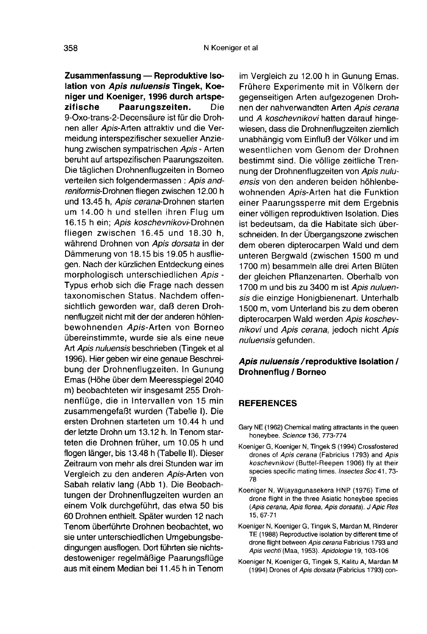Zusammenfassung — Reproduktive Isolation von Apis nuluensis Tingek, Koeniger und Koeniger, 1996 durch artspe-<br>zifische Paarungszeiten. Die Paarungszeiten. Die 9-Oxo-trans-2-Decensäure ist für die Drohnen aller Apis-Arten attraktiv und die Vermeidung interspezifischer sexueller Anziehung zwischen sympatrischen Apis-Arten beruht auf artspezifischen Paarungszeiten. Die täglichen Drohnenflugzeiten in Borneo verteilen sich folgendermassen : Apis andreniformis-Drohnen fliegen zwischen 12.00 h und 13.45 h, Apis cerana-Drohnen starten um 14.00 h und stellen ihren Flug um 16.15 h ein; Apis koschevnikovi-Drohnen fliegen zwischen 16.45 und 18.30 h, während Drohnen von Apis dorsata in der Dämmerung von 18.15 bis 19.05 h ausfliegen. Nach der kürzlichen Entdeckung eines morphologisch unterschiedlichen Apis - Typus erhob sich die Frage nach dessen taxonomischen Status. Nachdem offensichtlich geworden war, daß deren Drohnenflugzeit nicht mit der der anderen höhlenbewohnenden Apis-Arten von Borneo übereinstimmte, wurde sie als eine neue Art Apis nuluensis beschrieben (Tingek et al 1996). Hier geben wir eine genaue Beschreibung der Drohnenflugzeiten. In Gunung Emas (Höhe über dem Meeresspiegel 2040 m) beobachteten wir insgesamt 255 Drohnenflüge, die in Intervallen von 15 min zusammengefaßt wurden (Tabelle I). Die ersten Drohnen starteten um 10.44 h und der letzte Drohn um 13.12 h. In Tenom starteten die Drohnen früher, um 10.05 h und flogen länger, bis 13.48 h (Tabelle II). Dieser Zeitraum von mehr als drei Stunden war im Vergleich zu den anderen Apis-Arten von Sabah relativ lang (Abb 1). Die Beobachtungen der Drohnenflugzeiten wurden an einem Volk durchgeführt, das etwa 50 bis 60 Drohnen enthielt. Später wurden 12 nach Tenom überführte Drohnen beobachtet, wo sie unter unterschiedlichen Umgebungsbedingungen ausflogen. Dort führten sie nichtsdestoweniger regelmäßige Paarungsflüge aus mit einem Median bei 11.45 h in Tenom

im Vergleich zu 12.00 h in Gunung Emas. Frühere Experimente mit in Völkern der gegenseitigen Arten aufgezogenen Drohnen der nahverwandten Arten Apis cerana und A koschevnikovi hatten darauf hingewiesen, dass die Drohnenflugzeiten ziemlich unabhängig vom Einfluß der Völker und im wesentlichen vom Genom der Drohnen bestimmt sind. Die völlige zeitliche Trennung der Drohnenflugzeiten von Apis nuluensis von den anderen beiden höhlenbewohnenden Apis-Arten hat die Funktion einer Paarungssperre mit dem Ergebnis einer völligen reproduktiven Isolation. Dies ist bedeutsam, da die Habitate sich überschneiden. In der Übergangszone zwischen dem oberen dipterocarpen Wald und dem unteren Bergwald (zwischen 1500 m und 1700 m) besammeln alle drei Arten Blüten der gleichen Pflanzenarten. Oberhalb von 1700 m und bis zu 3400 m ist Apis nuluensis die einzige Honigbienenart. Unterhalb 1500 m, vom Unterland bis zu dem oberen dipterocarpen Wald werden Apis koschevnikovi und Apis cerana, jedoch nicht Apis nuluensis gefunden.

## Apis nuluensis/reproduktive Isolation / Drohnenflug / Borneo

#### REFERENCES

- Gary NE (1962) Chemical mating attractants in the queen honeybee. Science 136, 773-774
- Koeniger G, Koeniger N, Tingek S (1994) Crossfostered drones of Apis cerana (Fabricius 1793) and Apis koschevnikovi (Buttel-Reepen 1906) fly at their species specific mating times. Insectes Soc 41, 73-78
- Koeniger N, Wijayagunasekera HNP (1976) Time of drone flight in the three Asiatic honeybee species (Apis cerana, Apis florea, Apis dorsata). J Apic Res 15, 67-71
- Koeniger N, Koeniger G, Tingek S, Mardan M, Rinderer TE (1988) Reproductive isolation by different time of drone flight between Apis cerana Fabricius 1793 and Apis vechti (Maa, 1953). Apidologie 19, 103-106
- Koeniger N, Koeniger G, Tingek S, Kalitu A, Mardan M (1994) Drones of Apis dorsata (Fabricius 1793) con-